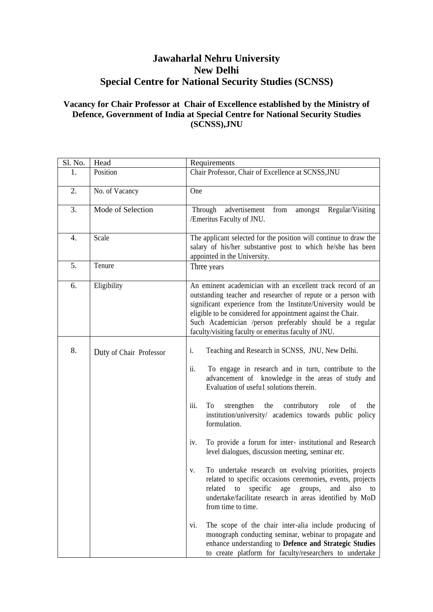## **Jawaharlal Nehru University New Delhi Special Centre for National Security Studies (SCNSS)**

## **Vacancy for Chair Professor at Chair of Excellence established by the Ministry of Defence, Government of India at Special Centre for National Security Studies (SCNSS),JNU**

| Sl. No. | Head                    | Requirements                                                                                                                                                                                                                                                                                                                                                                                                                                                                                                                                                                                                                                                                                                                                                                                                                                                                                                                                                                                                                   |  |
|---------|-------------------------|--------------------------------------------------------------------------------------------------------------------------------------------------------------------------------------------------------------------------------------------------------------------------------------------------------------------------------------------------------------------------------------------------------------------------------------------------------------------------------------------------------------------------------------------------------------------------------------------------------------------------------------------------------------------------------------------------------------------------------------------------------------------------------------------------------------------------------------------------------------------------------------------------------------------------------------------------------------------------------------------------------------------------------|--|
| 1.      | Position                | Chair Professor, Chair of Excellence at SCNSS, JNU                                                                                                                                                                                                                                                                                                                                                                                                                                                                                                                                                                                                                                                                                                                                                                                                                                                                                                                                                                             |  |
| 2.      | No. of Vacancy          | One                                                                                                                                                                                                                                                                                                                                                                                                                                                                                                                                                                                                                                                                                                                                                                                                                                                                                                                                                                                                                            |  |
| 3.      | Mode of Selection       | Regular/Visiting<br>advertisement<br>Through<br>from<br>amongst<br>/Emeritus Faculty of JNU.                                                                                                                                                                                                                                                                                                                                                                                                                                                                                                                                                                                                                                                                                                                                                                                                                                                                                                                                   |  |
| 4.      | Scale                   | The applicant selected for the position will continue to draw the<br>salary of his/her substantive post to which he/she has been<br>appointed in the University.                                                                                                                                                                                                                                                                                                                                                                                                                                                                                                                                                                                                                                                                                                                                                                                                                                                               |  |
| 5.      | Tenure                  | Three years                                                                                                                                                                                                                                                                                                                                                                                                                                                                                                                                                                                                                                                                                                                                                                                                                                                                                                                                                                                                                    |  |
| 6.      | Eligibility             | An eminent academician with an excellent track record of an<br>outstanding teacher and researcher of repute or a person with<br>significant experience from the Institute/University would be<br>eligible to be considered for appointment against the Chair.<br>Such Academician /person preferably should be a regular<br>faculty/visiting faculty or emeritus faculty of JNU.                                                                                                                                                                                                                                                                                                                                                                                                                                                                                                                                                                                                                                               |  |
| 8.      | Duty of Chair Professor | Teaching and Research in SCNSS, JNU, New Delhi.<br>1.<br>ii.<br>To engage in research and in turn, contribute to the<br>advancement of knowledge in the areas of study and<br>Evaluation of useful solutions therein.<br>iii.<br>the contributory role<br>To<br>strengthen<br>of<br>the<br>institution/university/ academics towards public policy<br>formulation.<br>To provide a forum for inter- institutional and Research<br>iv.<br>level dialogues, discussion meeting, seminar etc.<br>To undertake research on evolving priorities, projects<br>V.<br>related to specific occasions ceremonies, events, projects<br>related<br>specific<br>also<br>to<br>groups,<br>age<br>and<br>to<br>undertake/facilitate research in areas identified by MoD<br>from time to time.<br>The scope of the chair inter-alia include producing of<br>vi.<br>monograph conducting seminar, webinar to propagate and<br>enhance understanding to Defence and Strategic Studies<br>to create platform for faculty/researchers to undertake |  |